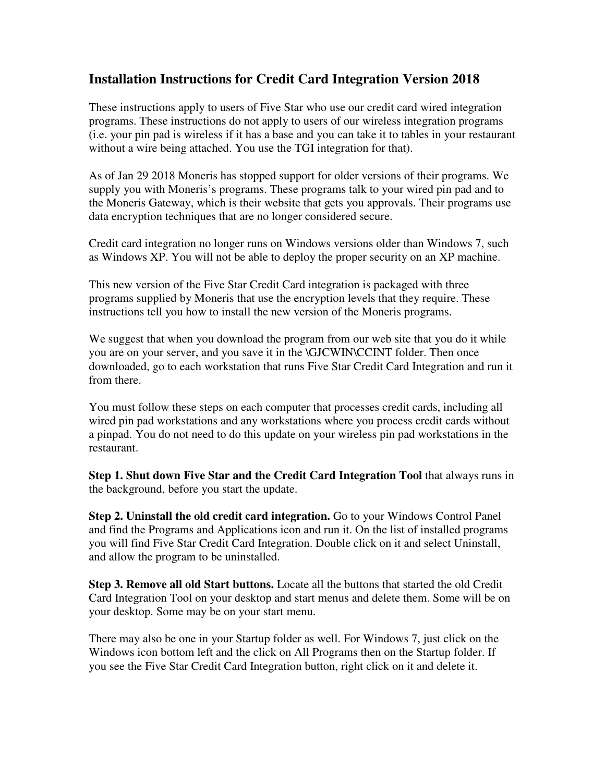## **Installation Instructions for Credit Card Integration Version 2018**

These instructions apply to users of Five Star who use our credit card wired integration programs. These instructions do not apply to users of our wireless integration programs (i.e. your pin pad is wireless if it has a base and you can take it to tables in your restaurant without a wire being attached. You use the TGI integration for that).

As of Jan 29 2018 Moneris has stopped support for older versions of their programs. We supply you with Moneris's programs. These programs talk to your wired pin pad and to the Moneris Gateway, which is their website that gets you approvals. Their programs use data encryption techniques that are no longer considered secure.

Credit card integration no longer runs on Windows versions older than Windows 7, such as Windows XP. You will not be able to deploy the proper security on an XP machine.

This new version of the Five Star Credit Card integration is packaged with three programs supplied by Moneris that use the encryption levels that they require. These instructions tell you how to install the new version of the Moneris programs.

We suggest that when you download the program from our web site that you do it while you are on your server, and you save it in the \GJCWIN\CCINT folder. Then once downloaded, go to each workstation that runs Five Star Credit Card Integration and run it from there.

You must follow these steps on each computer that processes credit cards, including all wired pin pad workstations and any workstations where you process credit cards without a pinpad. You do not need to do this update on your wireless pin pad workstations in the restaurant.

**Step 1. Shut down Five Star and the Credit Card Integration Tool** that always runs in the background, before you start the update.

**Step 2. Uninstall the old credit card integration.** Go to your Windows Control Panel and find the Programs and Applications icon and run it. On the list of installed programs you will find Five Star Credit Card Integration. Double click on it and select Uninstall, and allow the program to be uninstalled.

**Step 3. Remove all old Start buttons.** Locate all the buttons that started the old Credit Card Integration Tool on your desktop and start menus and delete them. Some will be on your desktop. Some may be on your start menu.

There may also be one in your Startup folder as well. For Windows 7, just click on the Windows icon bottom left and the click on All Programs then on the Startup folder. If you see the Five Star Credit Card Integration button, right click on it and delete it.